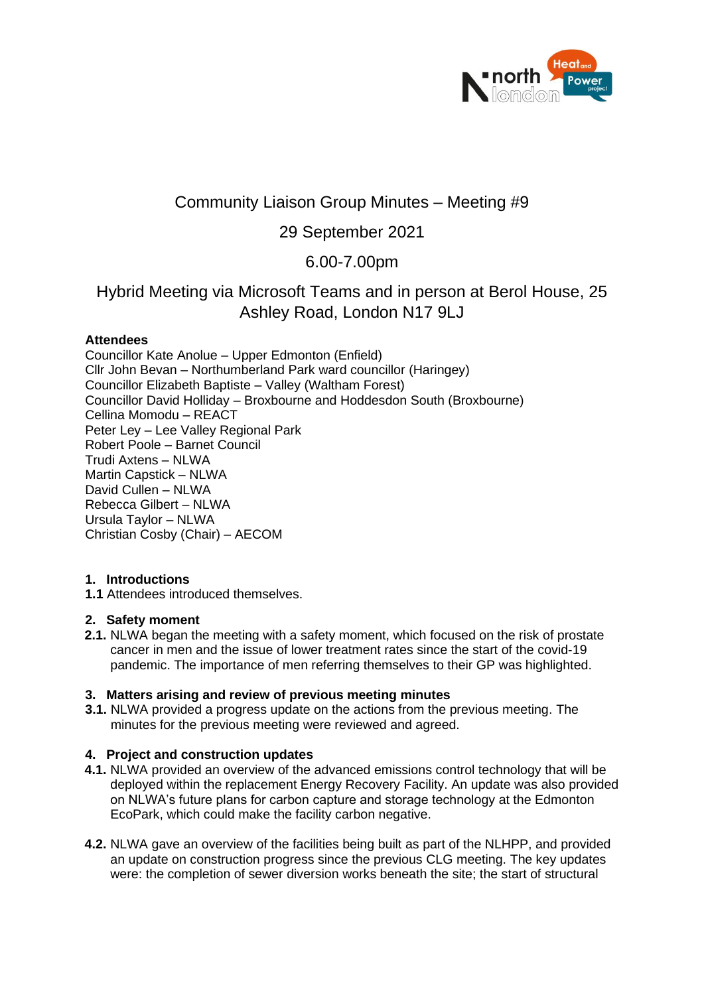

# Community Liaison Group Minutes – Meeting #9

## 29 September 2021

## 6.00-7.00pm

## Hybrid Meeting via Microsoft Teams and in person at Berol House, 25 Ashley Road, London N17 9LJ

## **Attendees**

Councillor Kate Anolue – Upper Edmonton (Enfield) Cllr John Bevan – Northumberland Park ward councillor (Haringey) Councillor Elizabeth Baptiste – Valley (Waltham Forest) Councillor David Holliday – Broxbourne and Hoddesdon South (Broxbourne) Cellina Momodu – REACT Peter Ley – Lee Valley Regional Park Robert Poole – Barnet Council Trudi Axtens – NLWA Martin Capstick – NLWA David Cullen – NLWA Rebecca Gilbert – NLWA Ursula Taylor – NLWA Christian Cosby (Chair) – AECOM

## **1. Introductions**

**1.1** Attendees introduced themselves.

## **2. Safety moment**

**2.1.** NLWA began the meeting with a safety moment, which focused on the risk of prostate cancer in men and the issue of lower treatment rates since the start of the covid-19 pandemic. The importance of men referring themselves to their GP was highlighted.

#### **3. Matters arising and review of previous meeting minutes**

**3.1.** NLWA provided a progress update on the actions from the previous meeting. The minutes for the previous meeting were reviewed and agreed.

## **4. Project and construction updates**

- **4.1.** NLWA provided an overview of the advanced emissions control technology that will be deployed within the replacement Energy Recovery Facility. An update was also provided on NLWA's future plans for carbon capture and storage technology at the Edmonton EcoPark, which could make the facility carbon negative.
- **4.2.** NLWA gave an overview of the facilities being built as part of the NLHPP, and provided an update on construction progress since the previous CLG meeting. The key updates were: the completion of sewer diversion works beneath the site; the start of structural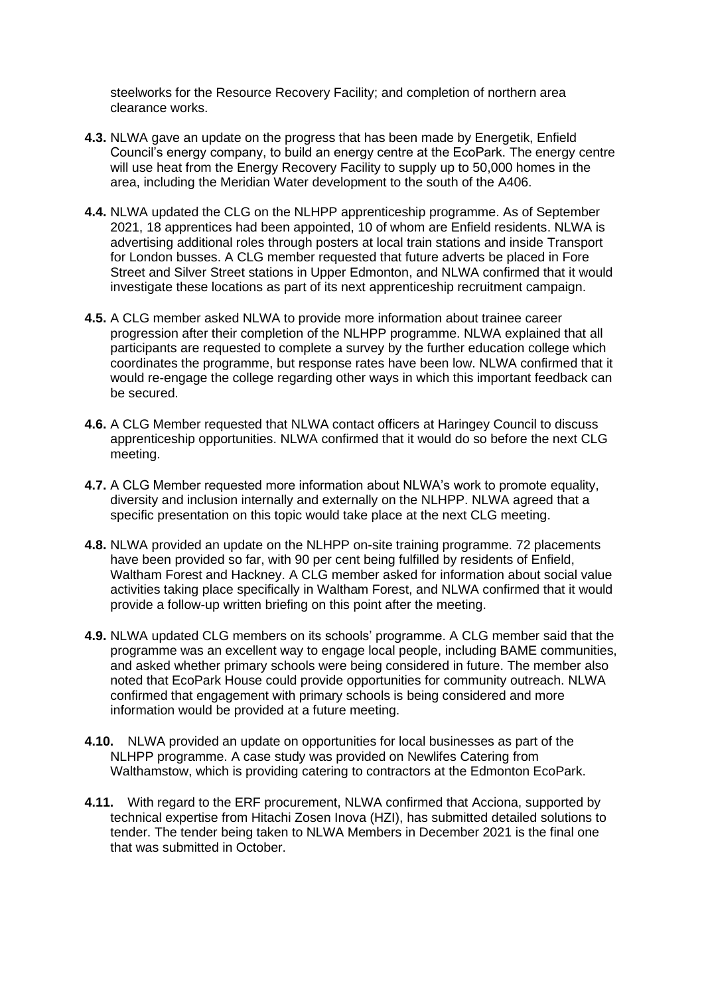steelworks for the Resource Recovery Facility; and completion of northern area clearance works.

- **4.3.** NLWA gave an update on the progress that has been made by Energetik, Enfield Council's energy company, to build an energy centre at the EcoPark. The energy centre will use heat from the Energy Recovery Facility to supply up to 50,000 homes in the area, including the Meridian Water development to the south of the A406.
- **4.4.** NLWA updated the CLG on the NLHPP apprenticeship programme. As of September 2021, 18 apprentices had been appointed, 10 of whom are Enfield residents. NLWA is advertising additional roles through posters at local train stations and inside Transport for London busses. A CLG member requested that future adverts be placed in Fore Street and Silver Street stations in Upper Edmonton, and NLWA confirmed that it would investigate these locations as part of its next apprenticeship recruitment campaign.
- **4.5.** A CLG member asked NLWA to provide more information about trainee career progression after their completion of the NLHPP programme. NLWA explained that all participants are requested to complete a survey by the further education college which coordinates the programme, but response rates have been low. NLWA confirmed that it would re-engage the college regarding other ways in which this important feedback can be secured.
- **4.6.** A CLG Member requested that NLWA contact officers at Haringey Council to discuss apprenticeship opportunities. NLWA confirmed that it would do so before the next CLG meeting.
- **4.7.** A CLG Member requested more information about NLWA's work to promote equality, diversity and inclusion internally and externally on the NLHPP. NLWA agreed that a specific presentation on this topic would take place at the next CLG meeting.
- **4.8.** NLWA provided an update on the NLHPP on-site training programme. 72 placements have been provided so far, with 90 per cent being fulfilled by residents of Enfield, Waltham Forest and Hackney. A CLG member asked for information about social value activities taking place specifically in Waltham Forest, and NLWA confirmed that it would provide a follow-up written briefing on this point after the meeting.
- **4.9.** NLWA updated CLG members on its schools' programme. A CLG member said that the programme was an excellent way to engage local people, including BAME communities, and asked whether primary schools were being considered in future. The member also noted that EcoPark House could provide opportunities for community outreach. NLWA confirmed that engagement with primary schools is being considered and more information would be provided at a future meeting.
- **4.10.** NLWA provided an update on opportunities for local businesses as part of the NLHPP programme. A case study was provided on Newlifes Catering from Walthamstow, which is providing catering to contractors at the Edmonton EcoPark.
- **4.11.** With regard to the ERF procurement, NLWA confirmed that Acciona, supported by technical expertise from Hitachi Zosen Inova (HZI), has submitted detailed solutions to tender. The tender being taken to NLWA Members in December 2021 is the final one that was submitted in October.